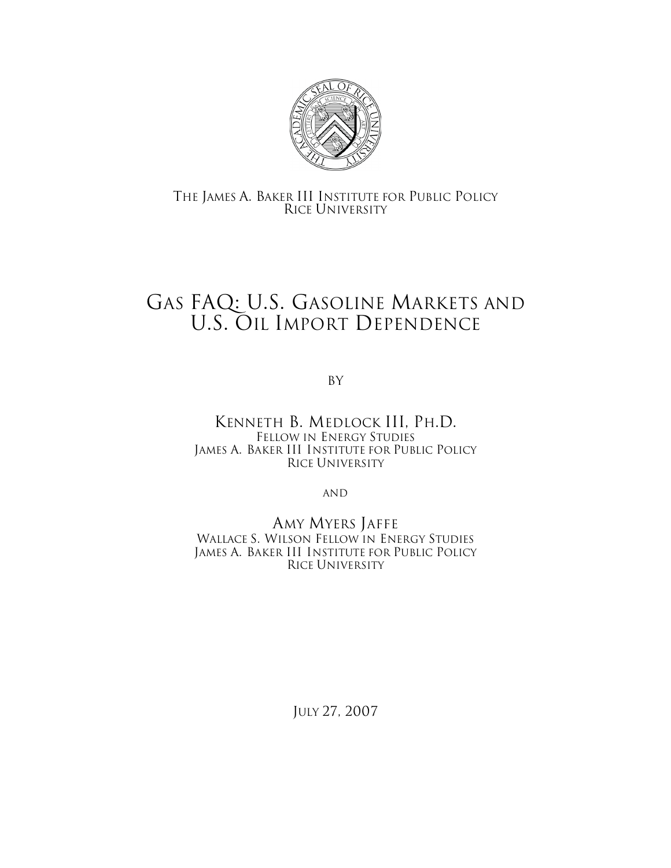

# THE JAMES A. BAKER III INSTITUTE FOR PUBLIC POLICY RICE UNIVERSITY

# GAS FAQ: U.S. GASOLINE MARKETS AND U.S. OIL IMPORT DEPENDENCE

By

KENNETH B. MEDLOCK III, PH.D. FELLOW IN ENERGY STUDIES JAMES A. BAKER III INSTITUTE FOR PUBLIC POLICY RICE UNIVERSITY

AND

AMY MYERS JAFFE WALLACE S. WILSON FELLOW IN ENERGY STUDIES JAMES A. BAKER III INSTITUTE FOR PUBLIC POLICY RICE UNIVERSITY

JULY 27, 2007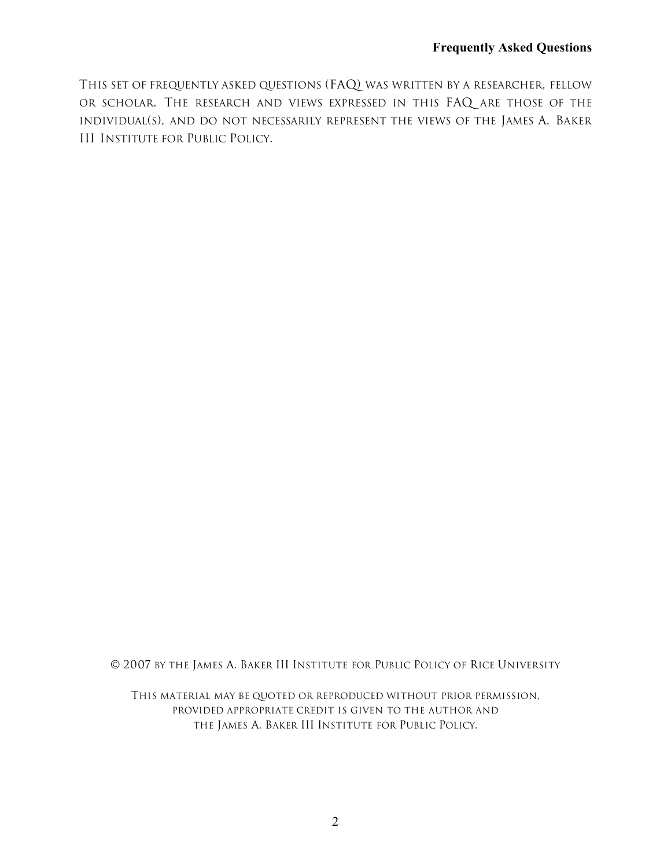THIS SET OF FREQUENTLY ASKED QUESTIONS (FAQ) WAS WRITTEN BY A RESEARCHER, FELLOW OR SCHOLAR. THE RESEARCH AND VIEWS EXPRESSED IN THIS FAQ ARE THOSE OF THE INDIVIDUAL(S), AND DO NOT NECESSARILY REPRESENT THE VIEWS OF THE JAMES A. BAKER III INSTITUTE FOR PUBLIC POLICY.

© 2007 BY THE JAMES A. BAKER III INSTITUTE FOR PUBLIC POLICY OF RICE UNIVERSITY

THIS MATERIAL MAY BE QUOTED OR REPRODUCED WITHOUT PRIOR PERMISSION, PROVIDED APPROPRIATE CREDIT IS GIVEN TO THE AUTHOR AND THE JAMES A. BAKER III INSTITUTE FOR PUBLIC POLICY.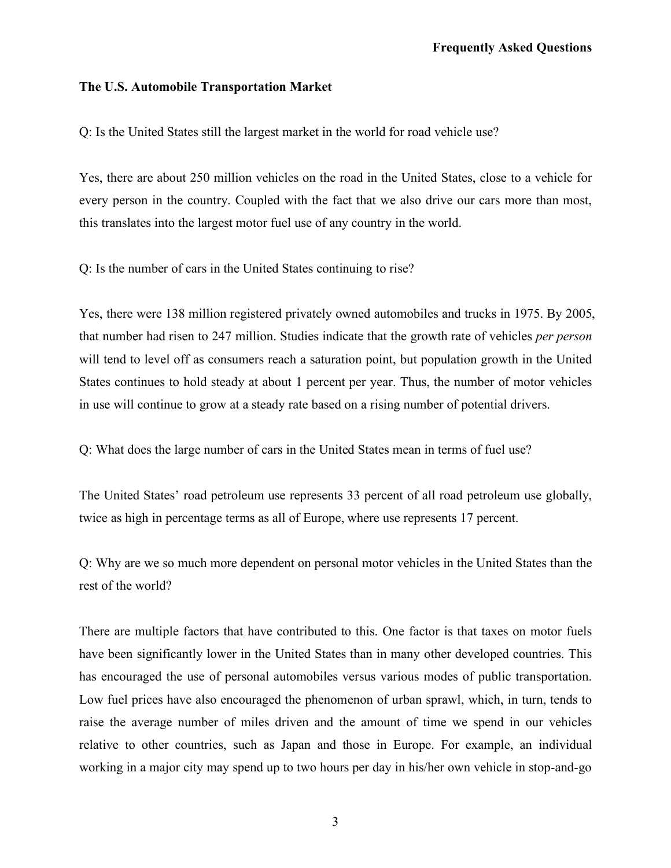## **The U.S. Automobile Transportation Market**

Q: Is the United States still the largest market in the world for road vehicle use?

Yes, there are about 250 million vehicles on the road in the United States, close to a vehicle for every person in the country. Coupled with the fact that we also drive our cars more than most, this translates into the largest motor fuel use of any country in the world.

Q: Is the number of cars in the United States continuing to rise?

Yes, there were 138 million registered privately owned automobiles and trucks in 1975. By 2005, that number had risen to 247 million. Studies indicate that the growth rate of vehicles *per person* will tend to level off as consumers reach a saturation point, but population growth in the United States continues to hold steady at about 1 percent per year. Thus, the number of motor vehicles in use will continue to grow at a steady rate based on a rising number of potential drivers.

Q: What does the large number of cars in the United States mean in terms of fuel use?

The United States' road petroleum use represents 33 percent of all road petroleum use globally, twice as high in percentage terms as all of Europe, where use represents 17 percent.

Q: Why are we so much more dependent on personal motor vehicles in the United States than the rest of the world?

There are multiple factors that have contributed to this. One factor is that taxes on motor fuels have been significantly lower in the United States than in many other developed countries. This has encouraged the use of personal automobiles versus various modes of public transportation. Low fuel prices have also encouraged the phenomenon of urban sprawl, which, in turn, tends to raise the average number of miles driven and the amount of time we spend in our vehicles relative to other countries, such as Japan and those in Europe. For example, an individual working in a major city may spend up to two hours per day in his/her own vehicle in stop-and-go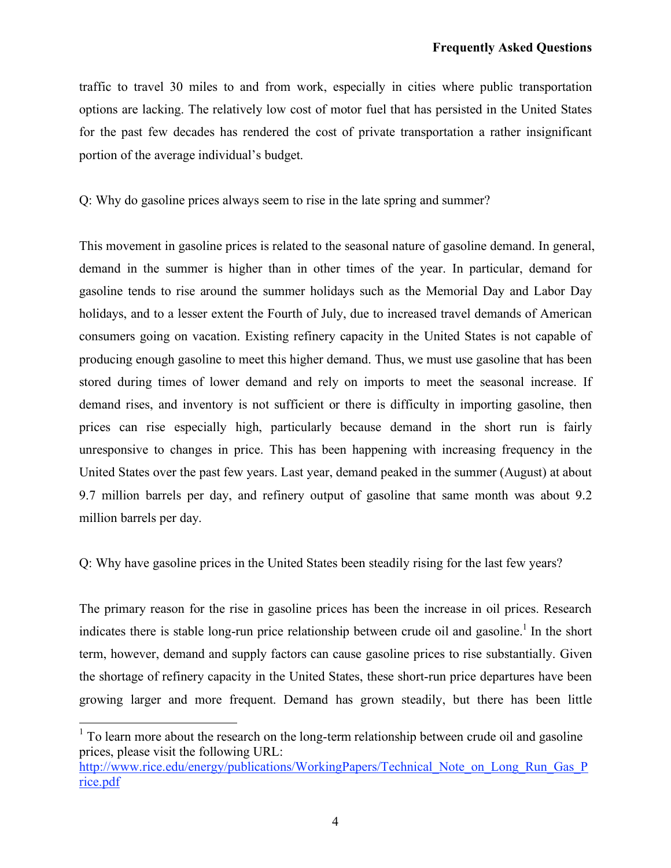traffic to travel 30 miles to and from work, especially in cities where public transportation options are lacking. The relatively low cost of motor fuel that has persisted in the United States for the past few decades has rendered the cost of private transportation a rather insignificant portion of the average individual's budget.

Q: Why do gasoline prices always seem to rise in the late spring and summer?

This movement in gasoline prices is related to the seasonal nature of gasoline demand. In general, demand in the summer is higher than in other times of the year. In particular, demand for gasoline tends to rise around the summer holidays such as the Memorial Day and Labor Day holidays, and to a lesser extent the Fourth of July, due to increased travel demands of American consumers going on vacation. Existing refinery capacity in the United States is not capable of producing enough gasoline to meet this higher demand. Thus, we must use gasoline that has been stored during times of lower demand and rely on imports to meet the seasonal increase. If demand rises, and inventory is not sufficient or there is difficulty in importing gasoline, then prices can rise especially high, particularly because demand in the short run is fairly unresponsive to changes in price. This has been happening with increasing frequency in the United States over the past few years. Last year, demand peaked in the summer (August) at about 9.7 million barrels per day, and refinery output of gasoline that same month was about 9.2 million barrels per day.

Q: Why have gasoline prices in the United States been steadily rising for the last few years?

The primary reason for the rise in gasoline prices has been the increase in oil prices. Research indicates there is stable long-run price relationship between crude oil and gasoline.<sup>1</sup> In the short term, however, demand and supply factors can cause gasoline prices to rise substantially. Given the shortage of refinery capacity in the United States, these short-run price departures have been growing larger and more frequent. Demand has grown steadily, but there has been little

 $1$  To learn more about the research on the long-term relationship between crude oil and gasoline prices, please visit the following URL:

[http://www.rice.edu/energy/publications/WorkingPapers/Technical\\_Note\\_on\\_Long\\_Run\\_Gas\\_P](http://www.rice.edu/energy/publications/WorkingPapers/Technical_Note_on_Long_Run_Gas_Price.pdf) rice.pdf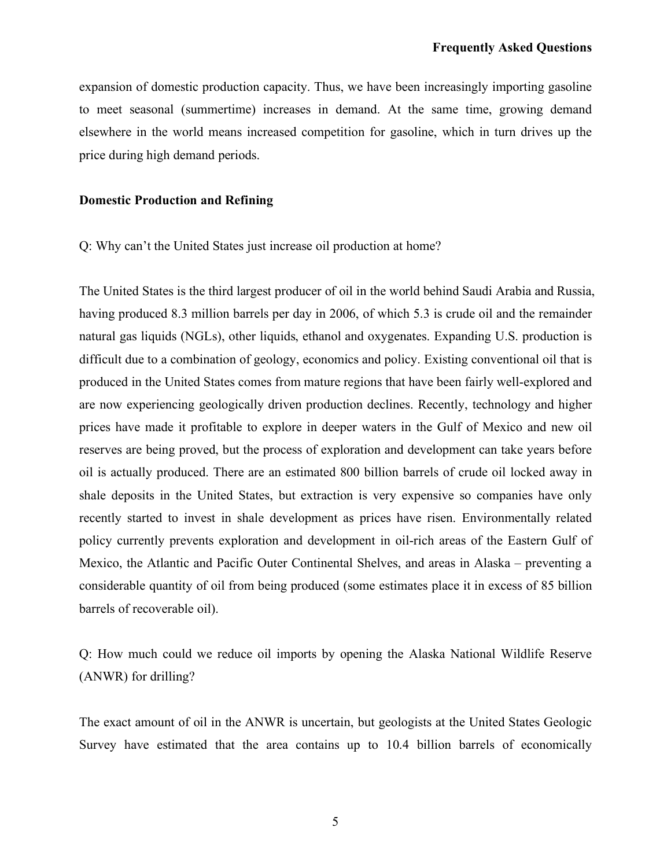expansion of domestic production capacity. Thus, we have been increasingly importing gasoline to meet seasonal (summertime) increases in demand. At the same time, growing demand elsewhere in the world means increased competition for gasoline, which in turn drives up the price during high demand periods.

#### **Domestic Production and Refining**

Q: Why can't the United States just increase oil production at home?

The United States is the third largest producer of oil in the world behind Saudi Arabia and Russia, having produced 8.3 million barrels per day in 2006, of which 5.3 is crude oil and the remainder natural gas liquids (NGLs), other liquids, ethanol and oxygenates. Expanding U.S. production is difficult due to a combination of geology, economics and policy. Existing conventional oil that is produced in the United States comes from mature regions that have been fairly well-explored and are now experiencing geologically driven production declines. Recently, technology and higher prices have made it profitable to explore in deeper waters in the Gulf of Mexico and new oil reserves are being proved, but the process of exploration and development can take years before oil is actually produced. There are an estimated 800 billion barrels of crude oil locked away in shale deposits in the United States, but extraction is very expensive so companies have only recently started to invest in shale development as prices have risen. Environmentally related policy currently prevents exploration and development in oil-rich areas of the Eastern Gulf of Mexico, the Atlantic and Pacific Outer Continental Shelves, and areas in Alaska – preventing a considerable quantity of oil from being produced (some estimates place it in excess of 85 billion barrels of recoverable oil).

Q: How much could we reduce oil imports by opening the Alaska National Wildlife Reserve (ANWR) for drilling?

The exact amount of oil in the ANWR is uncertain, but geologists at the United States Geologic Survey have estimated that the area contains up to 10.4 billion barrels of economically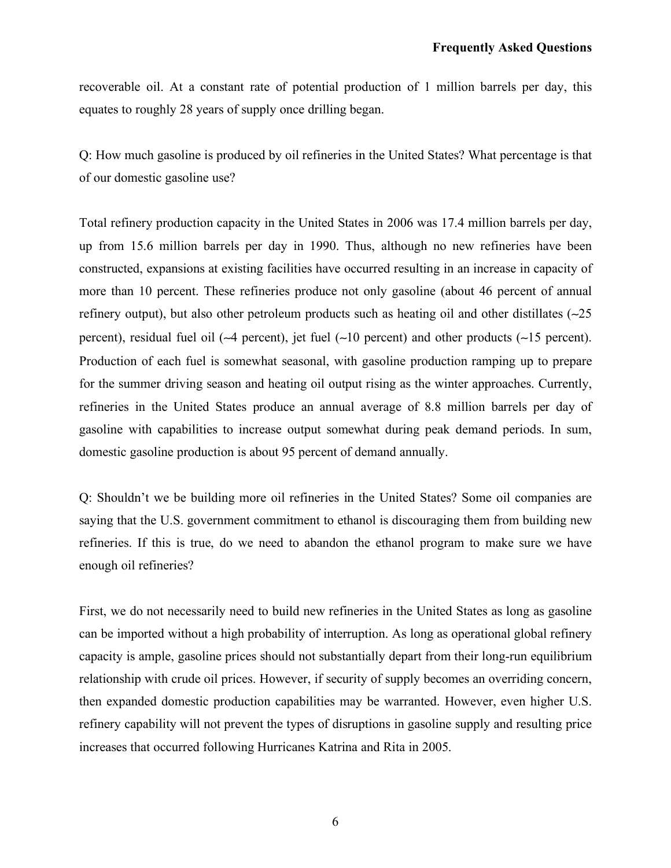recoverable oil. At a constant rate of potential production of 1 million barrels per day, this equates to roughly 28 years of supply once drilling began.

Q: How much gasoline is produced by oil refineries in the United States? What percentage is that of our domestic gasoline use?

Total refinery production capacity in the United States in 2006 was 17.4 million barrels per day, up from 15.6 million barrels per day in 1990. Thus, although no new refineries have been constructed, expansions at existing facilities have occurred resulting in an increase in capacity of more than 10 percent. These refineries produce not only gasoline (about 46 percent of annual refinery output), but also other petroleum products such as heating oil and other distillates (∼25 percent), residual fuel oil (∼4 percent), jet fuel (∼10 percent) and other products (∼15 percent). Production of each fuel is somewhat seasonal, with gasoline production ramping up to prepare for the summer driving season and heating oil output rising as the winter approaches. Currently, refineries in the United States produce an annual average of 8.8 million barrels per day of gasoline with capabilities to increase output somewhat during peak demand periods. In sum, domestic gasoline production is about 95 percent of demand annually.

Q: Shouldn't we be building more oil refineries in the United States? Some oil companies are saying that the U.S. government commitment to ethanol is discouraging them from building new refineries. If this is true, do we need to abandon the ethanol program to make sure we have enough oil refineries?

First, we do not necessarily need to build new refineries in the United States as long as gasoline can be imported without a high probability of interruption. As long as operational global refinery capacity is ample, gasoline prices should not substantially depart from their long-run equilibrium relationship with crude oil prices. However, if security of supply becomes an overriding concern, then expanded domestic production capabilities may be warranted. However, even higher U.S. refinery capability will not prevent the types of disruptions in gasoline supply and resulting price increases that occurred following Hurricanes Katrina and Rita in 2005.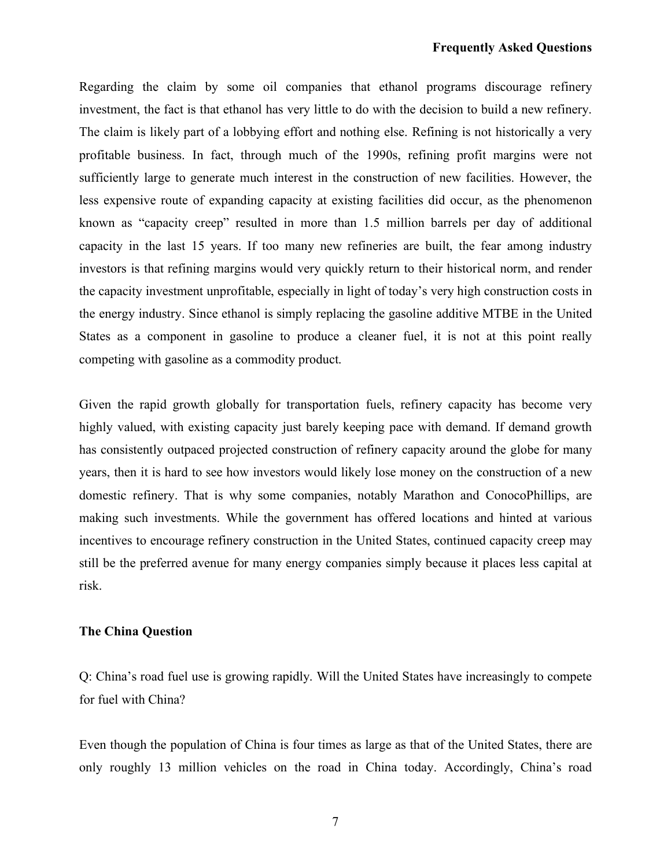#### **Frequently Asked Questions**

Regarding the claim by some oil companies that ethanol programs discourage refinery investment, the fact is that ethanol has very little to do with the decision to build a new refinery. The claim is likely part of a lobbying effort and nothing else. Refining is not historically a very profitable business. In fact, through much of the 1990s, refining profit margins were not sufficiently large to generate much interest in the construction of new facilities. However, the less expensive route of expanding capacity at existing facilities did occur, as the phenomenon known as "capacity creep" resulted in more than 1.5 million barrels per day of additional capacity in the last 15 years. If too many new refineries are built, the fear among industry investors is that refining margins would very quickly return to their historical norm, and render the capacity investment unprofitable, especially in light of today's very high construction costs in the energy industry. Since ethanol is simply replacing the gasoline additive MTBE in the United States as a component in gasoline to produce a cleaner fuel, it is not at this point really competing with gasoline as a commodity product.

Given the rapid growth globally for transportation fuels, refinery capacity has become very highly valued, with existing capacity just barely keeping pace with demand. If demand growth has consistently outpaced projected construction of refinery capacity around the globe for many years, then it is hard to see how investors would likely lose money on the construction of a new domestic refinery. That is why some companies, notably Marathon and ConocoPhillips, are making such investments. While the government has offered locations and hinted at various incentives to encourage refinery construction in the United States, continued capacity creep may still be the preferred avenue for many energy companies simply because it places less capital at risk.

### **The China Question**

Q: China's road fuel use is growing rapidly. Will the United States have increasingly to compete for fuel with China?

Even though the population of China is four times as large as that of the United States, there are only roughly 13 million vehicles on the road in China today. Accordingly, China's road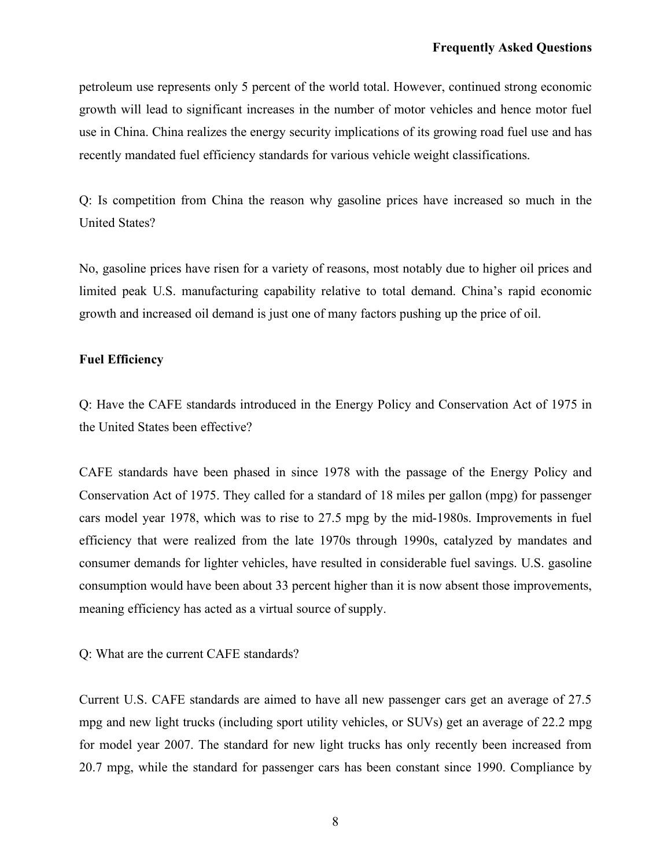petroleum use represents only 5 percent of the world total. However, continued strong economic growth will lead to significant increases in the number of motor vehicles and hence motor fuel use in China. China realizes the energy security implications of its growing road fuel use and has recently mandated fuel efficiency standards for various vehicle weight classifications.

Q: Is competition from China the reason why gasoline prices have increased so much in the United States?

No, gasoline prices have risen for a variety of reasons, most notably due to higher oil prices and limited peak U.S. manufacturing capability relative to total demand. China's rapid economic growth and increased oil demand is just one of many factors pushing up the price of oil.

## **Fuel Efficiency**

Q: Have the CAFE standards introduced in the Energy Policy and Conservation Act of 1975 in the United States been effective?

CAFE standards have been phased in since 1978 with the passage of the Energy Policy and Conservation Act of 1975. They called for a standard of 18 miles per gallon (mpg) for passenger cars model year 1978, which was to rise to 27.5 mpg by the mid-1980s. Improvements in fuel efficiency that were realized from the late 1970s through 1990s, catalyzed by mandates and consumer demands for lighter vehicles, have resulted in considerable fuel savings. U.S. gasoline consumption would have been about 33 percent higher than it is now absent those improvements, meaning efficiency has acted as a virtual source of supply.

Q: What are the current CAFE standards?

Current U.S. CAFE standards are aimed to have all new passenger cars get an average of 27.5 mpg and new light trucks (including sport utility vehicles, or SUVs) get an average of 22.2 mpg for model year 2007. The standard for new light trucks has only recently been increased from 20.7 mpg, while the standard for passenger cars has been constant since 1990. Compliance by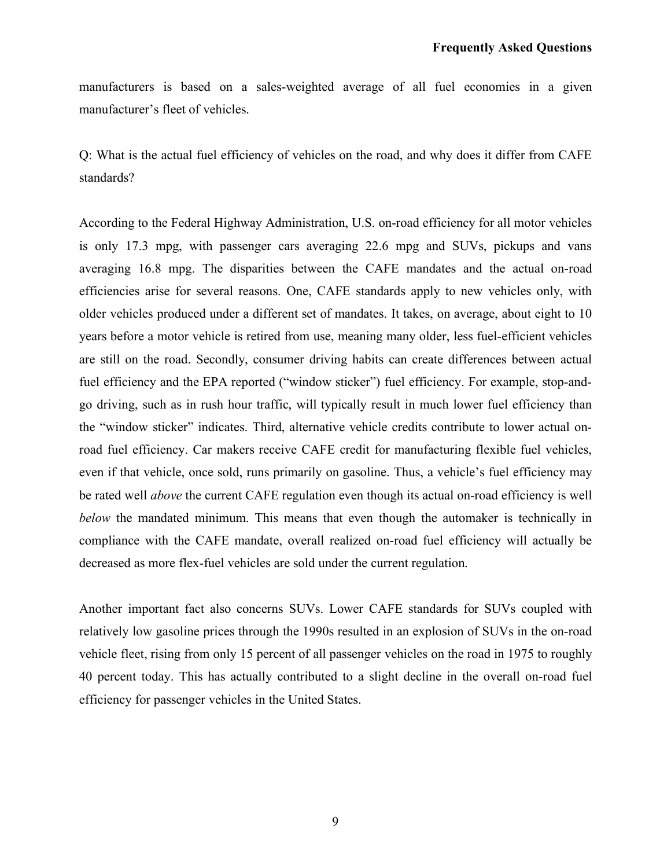manufacturers is based on a sales-weighted average of all fuel economies in a given manufacturer's fleet of vehicles.

Q: What is the actual fuel efficiency of vehicles on the road, and why does it differ from CAFE standards?

According to the Federal Highway Administration, U.S. on-road efficiency for all motor vehicles is only 17.3 mpg, with passenger cars averaging 22.6 mpg and SUVs, pickups and vans averaging 16.8 mpg. The disparities between the CAFE mandates and the actual on-road efficiencies arise for several reasons. One, CAFE standards apply to new vehicles only, with older vehicles produced under a different set of mandates. It takes, on average, about eight to 10 years before a motor vehicle is retired from use, meaning many older, less fuel-efficient vehicles are still on the road. Secondly, consumer driving habits can create differences between actual fuel efficiency and the EPA reported ("window sticker") fuel efficiency. For example, stop-andgo driving, such as in rush hour traffic, will typically result in much lower fuel efficiency than the "window sticker" indicates. Third, alternative vehicle credits contribute to lower actual onroad fuel efficiency. Car makers receive CAFE credit for manufacturing flexible fuel vehicles, even if that vehicle, once sold, runs primarily on gasoline. Thus, a vehicle's fuel efficiency may be rated well *above* the current CAFE regulation even though its actual on-road efficiency is well *below* the mandated minimum. This means that even though the automaker is technically in compliance with the CAFE mandate, overall realized on-road fuel efficiency will actually be decreased as more flex-fuel vehicles are sold under the current regulation.

Another important fact also concerns SUVs. Lower CAFE standards for SUVs coupled with relatively low gasoline prices through the 1990s resulted in an explosion of SUVs in the on-road vehicle fleet, rising from only 15 percent of all passenger vehicles on the road in 1975 to roughly 40 percent today. This has actually contributed to a slight decline in the overall on-road fuel efficiency for passenger vehicles in the United States.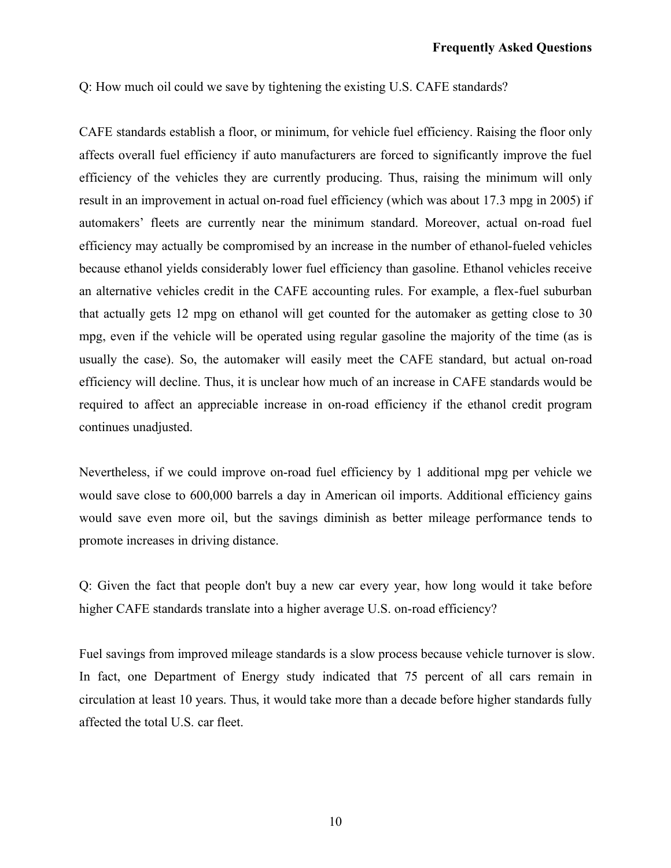Q: How much oil could we save by tightening the existing U.S. CAFE standards?

CAFE standards establish a floor, or minimum, for vehicle fuel efficiency. Raising the floor only affects overall fuel efficiency if auto manufacturers are forced to significantly improve the fuel efficiency of the vehicles they are currently producing. Thus, raising the minimum will only result in an improvement in actual on-road fuel efficiency (which was about 17.3 mpg in 2005) if automakers' fleets are currently near the minimum standard. Moreover, actual on-road fuel efficiency may actually be compromised by an increase in the number of ethanol-fueled vehicles because ethanol yields considerably lower fuel efficiency than gasoline. Ethanol vehicles receive an alternative vehicles credit in the CAFE accounting rules. For example, a flex-fuel suburban that actually gets 12 mpg on ethanol will get counted for the automaker as getting close to 30 mpg, even if the vehicle will be operated using regular gasoline the majority of the time (as is usually the case). So, the automaker will easily meet the CAFE standard, but actual on-road efficiency will decline. Thus, it is unclear how much of an increase in CAFE standards would be required to affect an appreciable increase in on-road efficiency if the ethanol credit program continues unadjusted.

Nevertheless, if we could improve on-road fuel efficiency by 1 additional mpg per vehicle we would save close to 600,000 barrels a day in American oil imports. Additional efficiency gains would save even more oil, but the savings diminish as better mileage performance tends to promote increases in driving distance.

Q: Given the fact that people don't buy a new car every year, how long would it take before higher CAFE standards translate into a higher average U.S. on-road efficiency?

Fuel savings from improved mileage standards is a slow process because vehicle turnover is slow. In fact, one Department of Energy study indicated that 75 percent of all cars remain in circulation at least 10 years. Thus, it would take more than a decade before higher standards fully affected the total U.S. car fleet.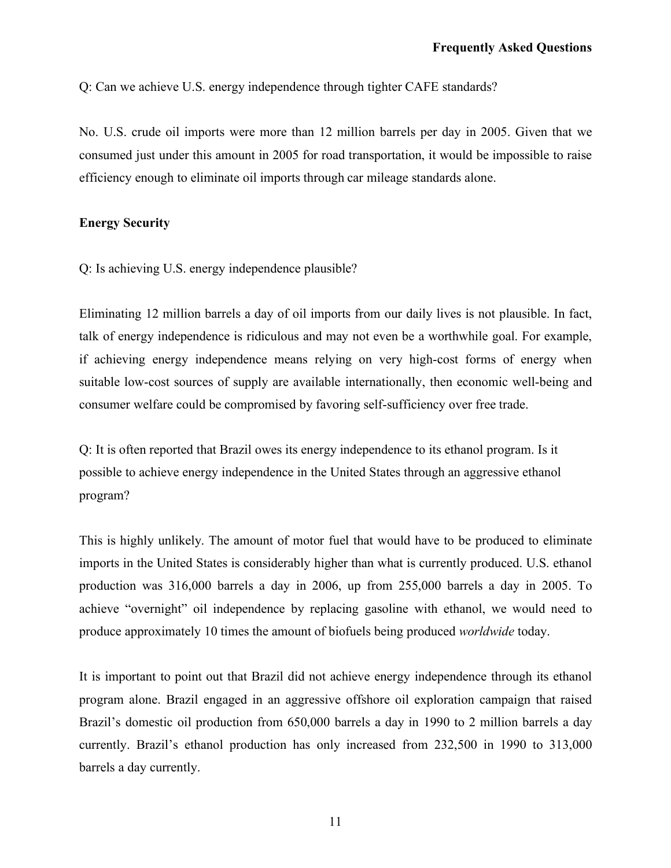Q: Can we achieve U.S. energy independence through tighter CAFE standards?

No. U.S. crude oil imports were more than 12 million barrels per day in 2005. Given that we consumed just under this amount in 2005 for road transportation, it would be impossible to raise efficiency enough to eliminate oil imports through car mileage standards alone.

## **Energy Security**

Q: Is achieving U.S. energy independence plausible?

Eliminating 12 million barrels a day of oil imports from our daily lives is not plausible. In fact, talk of energy independence is ridiculous and may not even be a worthwhile goal. For example, if achieving energy independence means relying on very high-cost forms of energy when suitable low-cost sources of supply are available internationally, then economic well-being and consumer welfare could be compromised by favoring self-sufficiency over free trade.

Q: It is often reported that Brazil owes its energy independence to its ethanol program. Is it possible to achieve energy independence in the United States through an aggressive ethanol program?

This is highly unlikely. The amount of motor fuel that would have to be produced to eliminate imports in the United States is considerably higher than what is currently produced. U.S. ethanol production was 316,000 barrels a day in 2006, up from 255,000 barrels a day in 2005. To achieve "overnight" oil independence by replacing gasoline with ethanol, we would need to produce approximately 10 times the amount of biofuels being produced *worldwide* today.

It is important to point out that Brazil did not achieve energy independence through its ethanol program alone. Brazil engaged in an aggressive offshore oil exploration campaign that raised Brazil's domestic oil production from 650,000 barrels a day in 1990 to 2 million barrels a day currently. Brazil's ethanol production has only increased from 232,500 in 1990 to 313,000 barrels a day currently.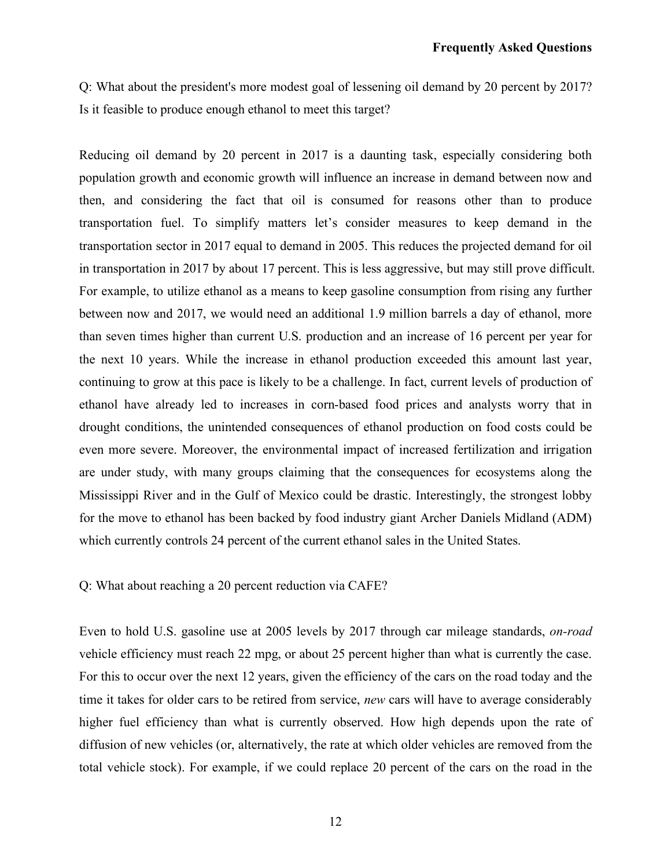Q: What about the president's more modest goal of lessening oil demand by 20 percent by 2017? Is it feasible to produce enough ethanol to meet this target?

Reducing oil demand by 20 percent in 2017 is a daunting task, especially considering both population growth and economic growth will influence an increase in demand between now and then, and considering the fact that oil is consumed for reasons other than to produce transportation fuel. To simplify matters let's consider measures to keep demand in the transportation sector in 2017 equal to demand in 2005. This reduces the projected demand for oil in transportation in 2017 by about 17 percent. This is less aggressive, but may still prove difficult. For example, to utilize ethanol as a means to keep gasoline consumption from rising any further between now and 2017, we would need an additional 1.9 million barrels a day of ethanol, more than seven times higher than current U.S. production and an increase of 16 percent per year for the next 10 years. While the increase in ethanol production exceeded this amount last year, continuing to grow at this pace is likely to be a challenge. In fact, current levels of production of ethanol have already led to increases in corn-based food prices and analysts worry that in drought conditions, the unintended consequences of ethanol production on food costs could be even more severe. Moreover, the environmental impact of increased fertilization and irrigation are under study, with many groups claiming that the consequences for ecosystems along the Mississippi River and in the Gulf of Mexico could be drastic. Interestingly, the strongest lobby for the move to ethanol has been backed by food industry giant Archer Daniels Midland (ADM) which currently controls 24 percent of the current ethanol sales in the United States.

## Q: What about reaching a 20 percent reduction via CAFE?

Even to hold U.S. gasoline use at 2005 levels by 2017 through car mileage standards, *on-road* vehicle efficiency must reach 22 mpg, or about 25 percent higher than what is currently the case. For this to occur over the next 12 years, given the efficiency of the cars on the road today and the time it takes for older cars to be retired from service, *new* cars will have to average considerably higher fuel efficiency than what is currently observed. How high depends upon the rate of diffusion of new vehicles (or, alternatively, the rate at which older vehicles are removed from the total vehicle stock). For example, if we could replace 20 percent of the cars on the road in the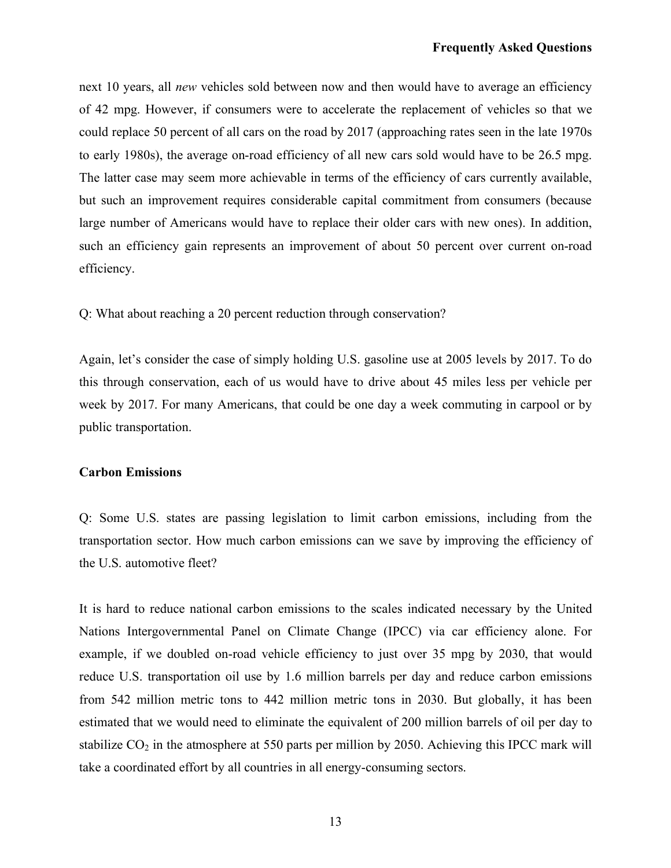next 10 years, all *new* vehicles sold between now and then would have to average an efficiency of 42 mpg. However, if consumers were to accelerate the replacement of vehicles so that we could replace 50 percent of all cars on the road by 2017 (approaching rates seen in the late 1970s to early 1980s), the average on-road efficiency of all new cars sold would have to be 26.5 mpg. The latter case may seem more achievable in terms of the efficiency of cars currently available, but such an improvement requires considerable capital commitment from consumers (because large number of Americans would have to replace their older cars with new ones). In addition, such an efficiency gain represents an improvement of about 50 percent over current on-road efficiency.

Q: What about reaching a 20 percent reduction through conservation?

Again, let's consider the case of simply holding U.S. gasoline use at 2005 levels by 2017. To do this through conservation, each of us would have to drive about 45 miles less per vehicle per week by 2017. For many Americans, that could be one day a week commuting in carpool or by public transportation.

## **Carbon Emissions**

Q: Some U.S. states are passing legislation to limit carbon emissions, including from the transportation sector. How much carbon emissions can we save by improving the efficiency of the U.S. automotive fleet?

It is hard to reduce national carbon emissions to the scales indicated necessary by the United Nations Intergovernmental Panel on Climate Change (IPCC) via car efficiency alone. For example, if we doubled on-road vehicle efficiency to just over 35 mpg by 2030, that would reduce U.S. transportation oil use by 1.6 million barrels per day and reduce carbon emissions from 542 million metric tons to 442 million metric tons in 2030. But globally, it has been estimated that we would need to eliminate the equivalent of 200 million barrels of oil per day to stabilize  $CO<sub>2</sub>$  in the atmosphere at 550 parts per million by 2050. Achieving this IPCC mark will take a coordinated effort by all countries in all energy-consuming sectors.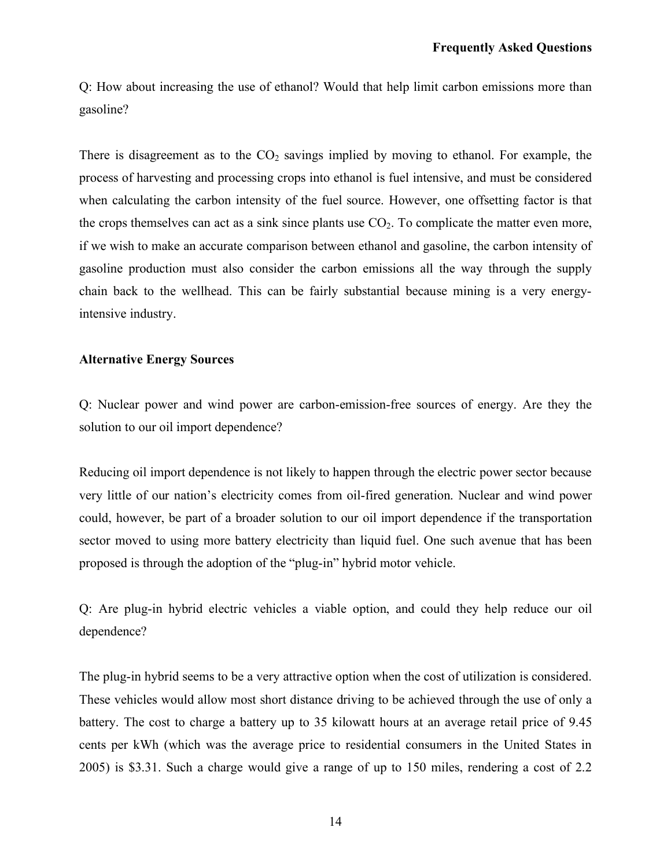Q: How about increasing the use of ethanol? Would that help limit carbon emissions more than gasoline?

There is disagreement as to the  $CO<sub>2</sub>$  savings implied by moving to ethanol. For example, the process of harvesting and processing crops into ethanol is fuel intensive, and must be considered when calculating the carbon intensity of the fuel source. However, one offsetting factor is that the crops themselves can act as a sink since plants use  $CO<sub>2</sub>$ . To complicate the matter even more, if we wish to make an accurate comparison between ethanol and gasoline, the carbon intensity of gasoline production must also consider the carbon emissions all the way through the supply chain back to the wellhead. This can be fairly substantial because mining is a very energyintensive industry.

## **Alternative Energy Sources**

Q: Nuclear power and wind power are carbon-emission-free sources of energy. Are they the solution to our oil import dependence?

Reducing oil import dependence is not likely to happen through the electric power sector because very little of our nation's electricity comes from oil-fired generation. Nuclear and wind power could, however, be part of a broader solution to our oil import dependence if the transportation sector moved to using more battery electricity than liquid fuel. One such avenue that has been proposed is through the adoption of the "plug-in" hybrid motor vehicle.

Q: Are plug-in hybrid electric vehicles a viable option, and could they help reduce our oil dependence?

The plug-in hybrid seems to be a very attractive option when the cost of utilization is considered. These vehicles would allow most short distance driving to be achieved through the use of only a battery. The cost to charge a battery up to 35 kilowatt hours at an average retail price of 9.45 cents per kWh (which was the average price to residential consumers in the United States in 2005) is \$3.31. Such a charge would give a range of up to 150 miles, rendering a cost of 2.2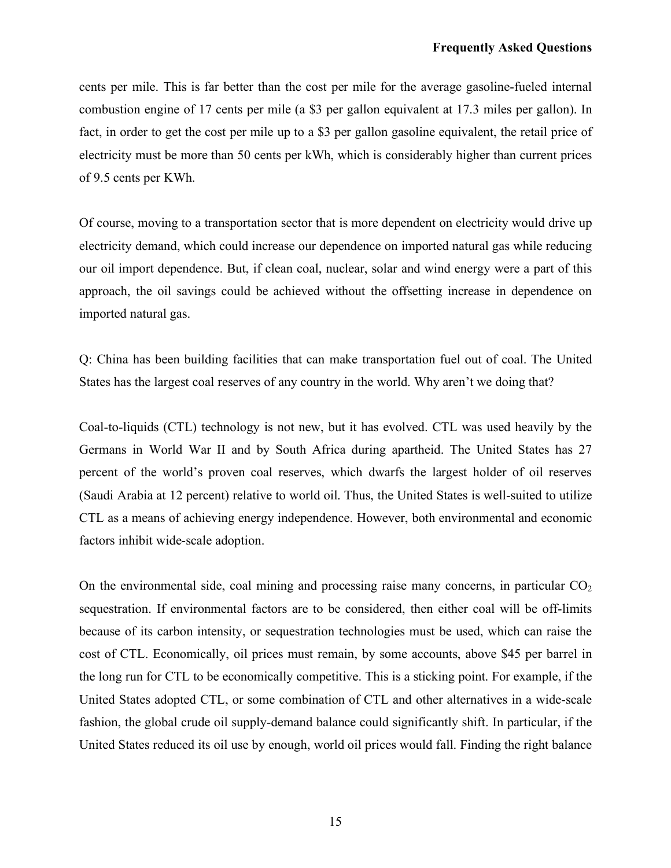cents per mile. This is far better than the cost per mile for the average gasoline-fueled internal combustion engine of 17 cents per mile (a \$3 per gallon equivalent at 17.3 miles per gallon). In fact, in order to get the cost per mile up to a \$3 per gallon gasoline equivalent, the retail price of electricity must be more than 50 cents per kWh, which is considerably higher than current prices of 9.5 cents per KWh.

Of course, moving to a transportation sector that is more dependent on electricity would drive up electricity demand, which could increase our dependence on imported natural gas while reducing our oil import dependence. But, if clean coal, nuclear, solar and wind energy were a part of this approach, the oil savings could be achieved without the offsetting increase in dependence on imported natural gas.

Q: China has been building facilities that can make transportation fuel out of coal. The United States has the largest coal reserves of any country in the world. Why aren't we doing that?

Coal-to-liquids (CTL) technology is not new, but it has evolved. CTL was used heavily by the Germans in World War II and by South Africa during apartheid. The United States has 27 percent of the world's proven coal reserves, which dwarfs the largest holder of oil reserves (Saudi Arabia at 12 percent) relative to world oil. Thus, the United States is well-suited to utilize CTL as a means of achieving energy independence. However, both environmental and economic factors inhibit wide-scale adoption.

On the environmental side, coal mining and processing raise many concerns, in particular  $CO<sub>2</sub>$ sequestration. If environmental factors are to be considered, then either coal will be off-limits because of its carbon intensity, or sequestration technologies must be used, which can raise the cost of CTL. Economically, oil prices must remain, by some accounts, above \$45 per barrel in the long run for CTL to be economically competitive. This is a sticking point. For example, if the United States adopted CTL, or some combination of CTL and other alternatives in a wide-scale fashion, the global crude oil supply-demand balance could significantly shift. In particular, if the United States reduced its oil use by enough, world oil prices would fall. Finding the right balance